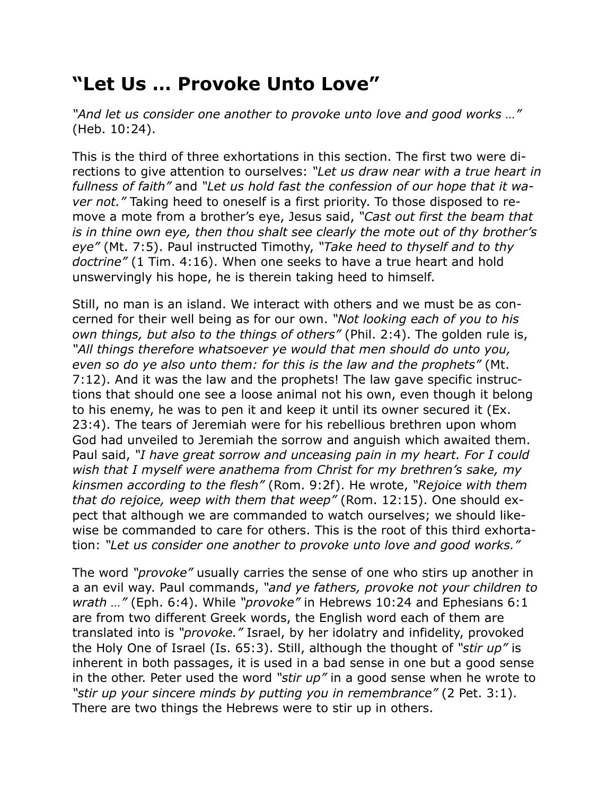## **"Let Us … Provoke Unto Love"**

*"And let us consider one another to provoke unto love and good works …"* (Heb. 10:24).

This is the third of three exhortations in this section. The first two were directions to give attention to ourselves: *"Let us draw near with a true heart in fullness of faith"* and *"Let us hold fast the confession of our hope that it waver not."* Taking heed to oneself is a first priority. To those disposed to remove a mote from a brother's eye, Jesus said, *"Cast out first the beam that is in thine own eye, then thou shalt see clearly the mote out of thy brother's eye"* (Mt. 7:5). Paul instructed Timothy, *"Take heed to thyself and to thy doctrine"* (1 Tim. 4:16). When one seeks to have a true heart and hold unswervingly his hope, he is therein taking heed to himself.

Still, no man is an island. We interact with others and we must be as concerned for their well being as for our own. *"Not looking each of you to his own things, but also to the things of others"* (Phil. 2:4). The golden rule is, *"All things therefore whatsoever ye would that men should do unto you, even so do ye also unto them: for this is the law and the prophets"* (Mt. 7:12). And it was the law and the prophets! The law gave specific instructions that should one see a loose animal not his own, even though it belong to his enemy, he was to pen it and keep it until its owner secured it (Ex. 23:4). The tears of Jeremiah were for his rebellious brethren upon whom God had unveiled to Jeremiah the sorrow and anguish which awaited them. Paul said, *"I have great sorrow and unceasing pain in my heart. For I could wish that I myself were anathema from Christ for my brethren's sake, my kinsmen according to the flesh"* (Rom. 9:2f). He wrote, *"Rejoice with them that do rejoice, weep with them that weep"* (Rom. 12:15). One should expect that although we are commanded to watch ourselves; we should likewise be commanded to care for others. This is the root of this third exhortation: *"Let us consider one another to provoke unto love and good works."*

The word *"provoke"* usually carries the sense of one who stirs up another in a an evil way. Paul commands, *"and ye fathers, provoke not your children to wrath …"* (Eph. 6:4). While *"provoke"* in Hebrews 10:24 and Ephesians 6:1 are from two different Greek words, the English word each of them are translated into is *"provoke."* Israel, by her idolatry and infidelity, provoked the Holy One of Israel (Is. 65:3). Still, although the thought of *"stir up"* is inherent in both passages, it is used in a bad sense in one but a good sense in the other. Peter used the word *"stir up"* in a good sense when he wrote to *"stir up your sincere minds by putting you in remembrance"* (2 Pet. 3:1). There are two things the Hebrews were to stir up in others.